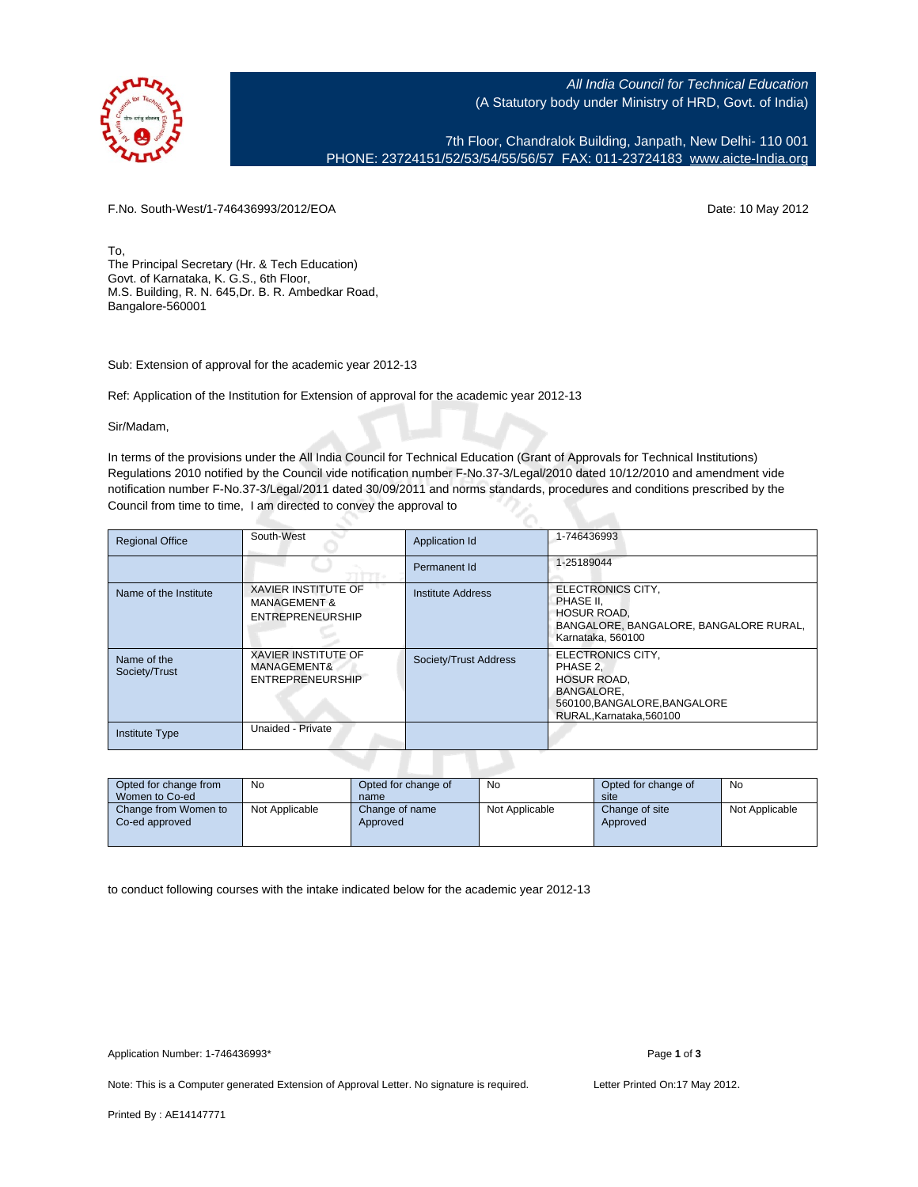

All India Council for Technical Education (A Statutory body under Ministry of HRD, Govt. of India)

7th Floor, Chandralok Building, Janpath, New Delhi- 110 001 PHONE: 23724151/52/53/54/55/56/57 FAX: 011-23724183 [www.aicte-India.org](http://www.aicte-India.org)

F.No. South-West/1-746436993/2012/EOA Date: 10 May 2012

To, The Principal Secretary (Hr. & Tech Education) Govt. of Karnataka, K. G.S., 6th Floor, M.S. Building, R. N. 645,Dr. B. R. Ambedkar Road, Bangalore-560001

Sub: Extension of approval for the academic year 2012-13

Ref: Application of the Institution for Extension of approval for the academic year 2012-13

Sir/Madam,

In terms of the provisions under the All India Council for Technical Education (Grant of Approvals for Technical Institutions) Regulations 2010 notified by the Council vide notification number F-No.37-3/Legal/2010 dated 10/12/2010 and amendment vide notification number F-No.37-3/Legal/2011 dated 30/09/2011 and norms standards, procedures and conditions prescribed by the Council from time to time, I am directed to convey the approval to

| <b>Regional Office</b>       | South-West                                                                       | Application Id        | 1-746436993                                                                                                                        |
|------------------------------|----------------------------------------------------------------------------------|-----------------------|------------------------------------------------------------------------------------------------------------------------------------|
|                              |                                                                                  | Permanent Id          | 1-25189044                                                                                                                         |
| Name of the Institute        | <b>XAVIER INSTITUTE OF</b><br><b>MANAGEMENT &amp;</b><br><b>ENTREPRENEURSHIP</b> | Institute Address     | ELECTRONICS CITY.<br>PHASE II.<br><b>HOSUR ROAD.</b><br>BANGALORE, BANGALORE, BANGALORE RURAL,<br>Karnataka, 560100                |
| Name of the<br>Society/Trust | <b>XAVIER INSTITUTE OF</b><br>MANAGEMENT&<br><b>ENTREPRENEURSHIP</b>             | Society/Trust Address | ELECTRONICS CITY.<br>PHASE 2.<br><b>HOSUR ROAD.</b><br><b>BANGALORE.</b><br>560100, BANGALORE, BANGALORE<br>RURAL.Karnataka.560100 |
| <b>Institute Type</b>        | Unaided - Private                                                                |                       |                                                                                                                                    |

| Opted for change from | No             | Opted for change of | <b>No</b>      | Opted for change of | No             |
|-----------------------|----------------|---------------------|----------------|---------------------|----------------|
| Women to Co-ed        |                | name                |                | site                |                |
| Change from Women to  | Not Applicable | Change of name      | Not Applicable | Change of site      | Not Applicable |
| Co-ed approved        |                | Approved            |                | Approved            |                |
|                       |                |                     |                |                     |                |
|                       |                |                     |                |                     |                |

to conduct following courses with the intake indicated below for the academic year 2012-13

Application Number: 1-746436993\* Page **1** of **3**

Note: This is a Computer generated Extension of Approval Letter. No signature is required. Letter Printed On:17 May 2012.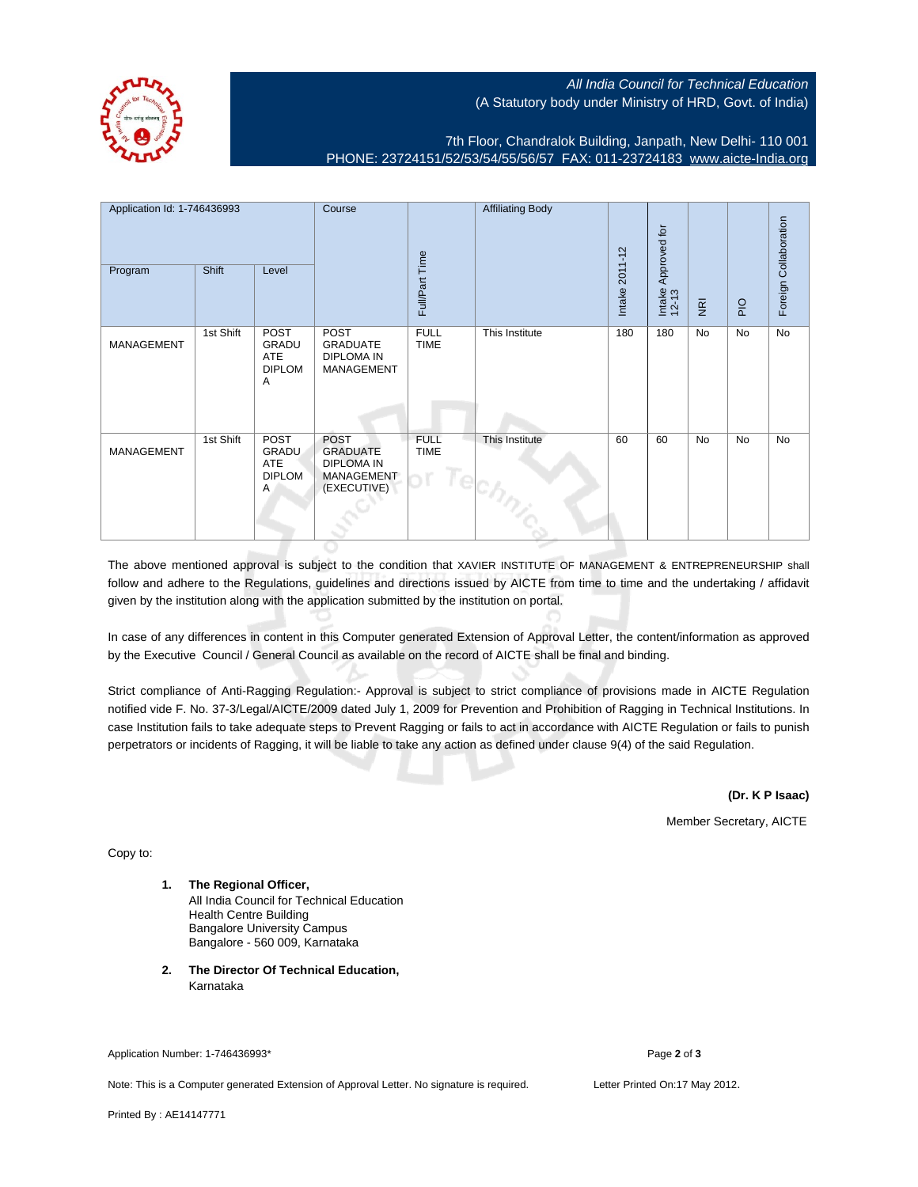All India Council for Technical Education (A Statutory body under Ministry of HRD, Govt. of India)



7th Floor, Chandralok Building, Janpath, New Delhi- 110 001 PHONE: 23724151/52/53/54/55/56/57 FAX: 011-23724183 [www.aicte-India.org](http://www.aicte-India.org)

| Application Id: 1-746436993<br>Shift<br>Program<br>Level |           | Course                                                   | Full/Part Time                                                                   | <b>Affiliating Body</b>                | $2011 - 12$                           | Approved for |                 |                         | Foreign Collaboration |    |
|----------------------------------------------------------|-----------|----------------------------------------------------------|----------------------------------------------------------------------------------|----------------------------------------|---------------------------------------|--------------|-----------------|-------------------------|-----------------------|----|
|                                                          |           |                                                          |                                                                                  |                                        |                                       | Intake       | Intake<br>12-13 | $\overline{\mathbf{g}}$ | P                     |    |
| MANAGEMENT                                               | 1st Shift | <b>POST</b><br><b>GRADU</b><br>ATE<br><b>DIPLOM</b><br>A | <b>POST</b><br><b>GRADUATE</b><br><b>DIPLOMA IN</b><br>MANAGEMENT                | <b>FULL</b><br><b>TIME</b>             | This Institute                        | 180          | 180             | No                      | No                    | No |
| MANAGEMENT                                               | 1st Shift | <b>POST</b><br><b>GRADU</b><br>ATE<br><b>DIPLOM</b><br>Α | <b>POST</b><br><b>GRADUATE</b><br><b>DIPLOMA IN</b><br>MANAGEMENT<br>(EXECUTIVE) | <b>FULL</b><br><b>TIME</b><br>эr<br>f. | This Institute<br>$\omega_{h_{\ell}}$ | 60           | 60              | No                      | No                    | No |

The above mentioned approval is subject to the condition that XAVIER INSTITUTE OF MANAGEMENT & ENTREPRENEURSHIP shall follow and adhere to the Regulations, guidelines and directions issued by AICTE from time to time and the undertaking / affidavit given by the institution along with the application submitted by the institution on portal.

In case of any differences in content in this Computer generated Extension of Approval Letter, the content/information as approved by the Executive Council / General Council as available on the record of AICTE shall be final and binding.

Strict compliance of Anti-Ragging Regulation:- Approval is subject to strict compliance of provisions made in AICTE Regulation notified vide F. No. 37-3/Legal/AICTE/2009 dated July 1, 2009 for Prevention and Prohibition of Ragging in Technical Institutions. In case Institution fails to take adequate steps to Prevent Ragging or fails to act in accordance with AICTE Regulation or fails to punish perpetrators or incidents of Ragging, it will be liable to take any action as defined under clause 9(4) of the said Regulation.

**(Dr. K P Isaac)**

Member Secretary, AICTE

Copy to:

- **1. The Regional Officer,** All India Council for Technical Education Health Centre Building Bangalore University Campus Bangalore - 560 009, Karnataka
- **2. The Director Of Technical Education,** Karnataka

Application Number: 1-746436993\* Page **2** of **3**